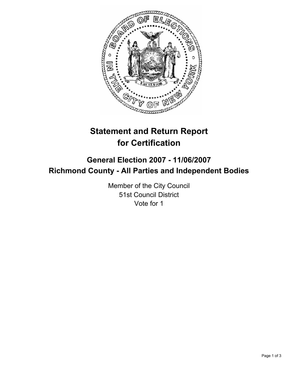

# **Statement and Return Report for Certification**

# **General Election 2007 - 11/06/2007 Richmond County - All Parties and Independent Bodies**

Member of the City Council 51st Council District Vote for 1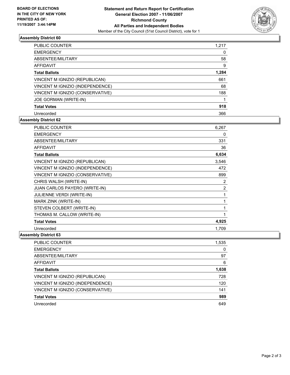

## **Assembly District 60**

| <b>PUBLIC COUNTER</b>            | 1,217 |  |
|----------------------------------|-------|--|
| <b>EMERGENCY</b>                 |       |  |
| ABSENTEE/MILITARY                | 58    |  |
| AFFIDAVIT                        | 9     |  |
| <b>Total Ballots</b>             | 1,284 |  |
| VINCENT M IGNIZIO (REPUBLICAN)   | 661   |  |
| VINCENT M IGNIZIO (INDEPENDENCE) | 68    |  |
| VINCENT M IGNIZIO (CONSERVATIVE) | 188   |  |
| JOE GORMAN (WRITE-IN)            |       |  |
| <b>Total Votes</b>               | 918   |  |
| Unrecorded                       | 366   |  |

## **Assembly District 62**

| <b>PUBLIC COUNTER</b>                | 6,267          |
|--------------------------------------|----------------|
| <b>EMERGENCY</b>                     | 0              |
| ABSENTEE/MILITARY                    | 331            |
| <b>AFFIDAVIT</b>                     | 36             |
| <b>Total Ballots</b>                 | 6,634          |
| VINCENT M IGNIZIO (REPUBLICAN)       | 3,546          |
| VINCENT M IGNIZIO (INDEPENDENCE)     | 472            |
| VINCENT M IGNIZIO (CONSERVATIVE)     | 899            |
| CHRIS WALSH (WRITE-IN)               | 2              |
| <b>JUAN CARLOS PAYERO (WRITE-IN)</b> | $\overline{2}$ |
| <b>JULIENNE VERDI (WRITE-IN)</b>     |                |
| MARK ZINK (WRITE-IN)                 |                |
| STEVEN COLBERT (WRITE-IN)            |                |
| THOMAS M. CALLOW (WRITE-IN)          |                |
| <b>Total Votes</b>                   | 4,925          |
| Unrecorded                           | 1.709          |

### **Assembly District 63**

| PUBLIC COUNTER                   | 1,535 |
|----------------------------------|-------|
| <b>EMERGENCY</b>                 | 0     |
| ABSENTEE/MILITARY                | 97    |
| <b>AFFIDAVIT</b>                 | 6     |
| <b>Total Ballots</b>             | 1,638 |
| VINCENT M IGNIZIO (REPUBLICAN)   | 728   |
| VINCENT M IGNIZIO (INDEPENDENCE) | 120   |
| VINCENT M IGNIZIO (CONSERVATIVE) | 141   |
| <b>Total Votes</b>               | 989   |
| Unrecorded                       | 649   |